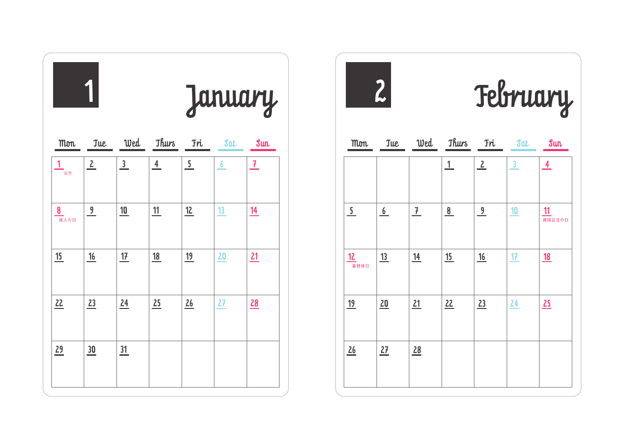|            | January      |                |               |                |            |                 |  |  |
|------------|--------------|----------------|---------------|----------------|------------|-----------------|--|--|
| <b>Mon</b> | <b>Tue</b>   |                | Wed Thurs     | <b>Tri</b>     | <b>Sat</b> | Sun             |  |  |
| -<br>元旦    | $\mathbf{2}$ | $\overline{3}$ | $\frac{4}{ }$ | $\overline{5}$ | 6          | $7\phantom{.0}$ |  |  |
| 8<br>成人の日  | 9            | 10             | 11            | 12             | 13         | 14              |  |  |
| 15         | 16           | 17             | <u>18</u>     | <u>19</u>      | 20         | 21              |  |  |
| 22         | 23           | 24             | 25            | 26             | 27         | 28              |  |  |
| 29         | 30           | 31             |               |                |            |                 |  |  |



2 February

| <b>Mon</b>     | <b>Tue</b> | Wed           | <b>Thurs</b> | <b>Fri</b>           | <b>Sat</b>     | Sun           |
|----------------|------------|---------------|--------------|----------------------|----------------|---------------|
|                |            |               | $\mathbf{1}$ | $\frac{2}{\sqrt{2}}$ | $\overline{3}$ | $\frac{4}{1}$ |
| $\overline{5}$ | 6          | $\frac{7}{ }$ | 8            | $\frac{9}{2}$        | 10             | 11<br>建国記念の日  |
| 12<br>振替休日     | 13         | <u>14</u>     | 15           | <u>16</u>            | 17             | <u>18</u>     |
| <u>19</u>      | 20         | 21            | 22           | 23                   | 24             | 25            |
| 26             | 27         | 28            |              |                      |                |               |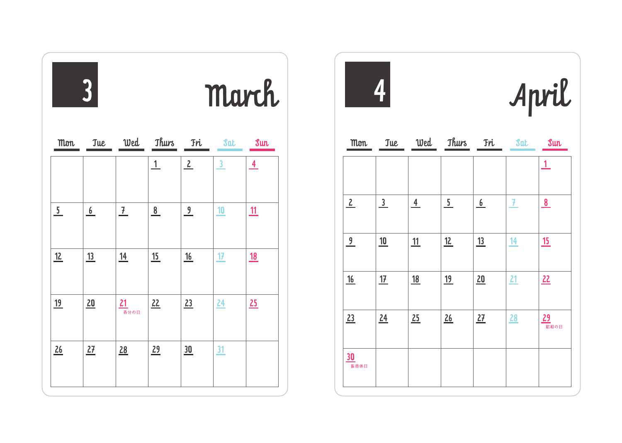|               | $\overline{3}$ |                 |               |               | March                   |           |
|---------------|----------------|-----------------|---------------|---------------|-------------------------|-----------|
| <b>Mon</b>    | <b>Jue</b>     |                 | Wed Thurs Fri |               | Sat                     | Sun       |
|               |                |                 | 1             | 2             | $\overline{\mathbf{3}}$ | 4         |
| $\frac{5}{1}$ | 6              | $\frac{7}{ }$   | $\frac{8}{1}$ | $\frac{9}{2}$ | $\underline{10}$        | <u>11</u> |
| 12            | <u>13</u>      | <u>14</u>       | 15            | 16            | 17                      | <u>18</u> |
| <u>19</u>     | 20             | 21<br>—<br>春分の日 | 22            | 23            | 24                      | 25        |
| 26            | 27             | 28              | 29            | 30            | 31                      |           |

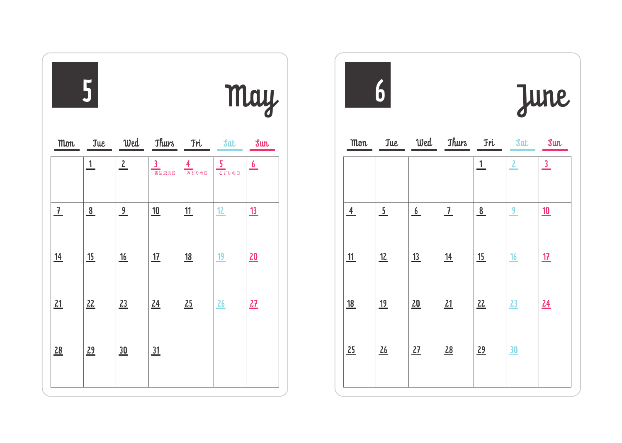|               | 5                       |                      |                                       |            | May          |           |  |
|---------------|-------------------------|----------------------|---------------------------------------|------------|--------------|-----------|--|
| <b>Mon</b>    | <b>Tue</b>              |                      | Wed Thurs Fri                         |            | <b>Sat</b>   | Sum       |  |
|               | $\mathbf{1}$            | $\frac{2}{\sqrt{2}}$ | $\overline{\mathbf{3}}$<br>—<br>憲法記念日 | 4<br>みどりの日 | $rac{5}{25}$ | 6         |  |
| $\frac{7}{ }$ | $\overline{\mathbf{8}}$ | 9                    | 10                                    | 11         | 12           | <u>13</u> |  |
| <u>14</u>     | 15                      | 16                   | 17                                    | <u>18</u>  | <u>19</u>    | 20        |  |
| 21            | 22                      | 23                   | 24                                    | 25         | 26           | 27        |  |
| 28            | 29                      | 30                   | 31                                    |            |              |           |  |

|           | $\boldsymbol{6}$ |                           |               |              |              | June             |
|-----------|------------------|---------------------------|---------------|--------------|--------------|------------------|
| Mon       |                  | Tue Wed Thurs Fri Sat Sun |               |              |              |                  |
|           |                  |                           |               | $\mathbf{1}$ | $\mathbf{2}$ | $\frac{3}{2}$    |
| 4         | 5 <sub>1</sub>   | 6                         | $\frac{7}{ }$ | 8            | 9            | 10               |
| 11        | 12               | 13                        | <u>14</u>     | 15           | 16           | 17               |
| <u>18</u> | <u>19</u>        | 20                        | 21            | 22           | 23           | $\underline{24}$ |
| 25        | 26               | 27                        | 28            | 29           | 30           |                  |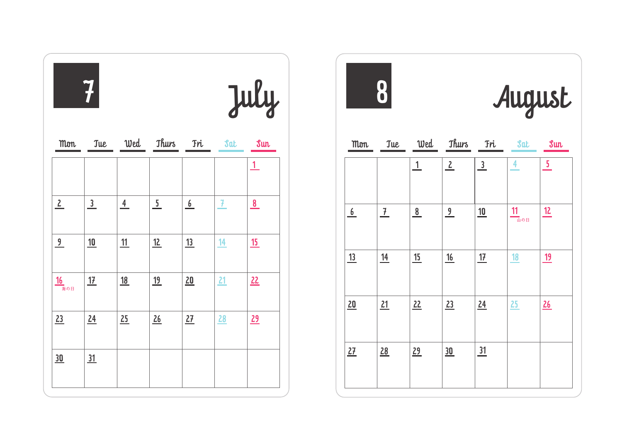|                           | 7             |                |                |     |               | July                    |
|---------------------------|---------------|----------------|----------------|-----|---------------|-------------------------|
| <b>Mon</b>                | <b>Jue</b>    |                | Wed Thurs      | Tri | <b>Sat</b>    | sum                     |
|                           |               |                |                |     |               | $\perp$                 |
| $\frac{2}{\sqrt{2}}$      | $\frac{3}{2}$ | $\overline{4}$ | $\overline{5}$ | 6   | $\mathcal{F}$ | $\overline{\mathbf{8}}$ |
| $\frac{9}{2}$             | 10            | 11             | 12             | 13  | 14            | 15                      |
| $\frac{16}{\frac{1}{2}7}$ | 17            | <u>18</u>      | <u>19</u>      | 20  | 21            | 22                      |
| 23                        | 24            | 25             | 26             | 27  | 28            | 29                      |
| 30                        | 31            |                |                |     |               |                         |



August

| Mon | <b>Jue</b>     | Wed          | Thurs Fri            |               | $\delta$ at | sum                     |
|-----|----------------|--------------|----------------------|---------------|-------------|-------------------------|
|     |                | $\mathbf{1}$ | $\frac{2}{\sqrt{2}}$ | $\frac{3}{2}$ | 4           | $\overline{\mathbf{5}}$ |
| 6   | $\overline{1}$ | 8            | $\frac{9}{2}$        | 10            | 11<br>山の日   | 12                      |
| 13  | 14             | 15           | 16                   | 17            | 18          | 19                      |
| 20  | 21             | 22           | 23                   | 24            | 25          | 26                      |
| 27  | 28             | 29           | 30                   | 31            |             |                         |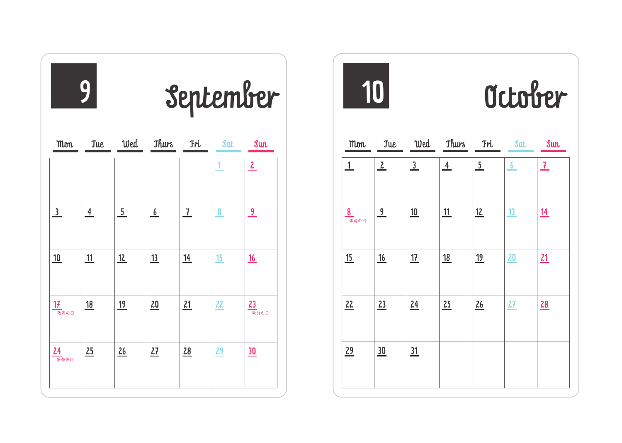|                 | 9              | September      |               |                |              |                 |
|-----------------|----------------|----------------|---------------|----------------|--------------|-----------------|
| <b>Mon</b>      | <b>Tue</b>     |                | Wed Thurs Fri |                | <b>Sat</b>   | sum             |
|                 |                |                |               |                | $\mathbf{1}$ | $\mathbf{2}$    |
| $\overline{3}$  | $\overline{4}$ | $\overline{5}$ | 6             | $\overline{1}$ | 8            | 9               |
| 10              | 11             | 12             | <u>13</u>     | <u>14</u>      | 15           | <u>16</u>       |
| 17<br>一<br>敬老の日 | <u>18</u>      | <u>19</u>      | 20            | 21             | 22           | 23<br>ー<br>秋分の日 |
| 24<br>振替休日      | 25             | 26             | 27            | 28             | 29           | 30              |

Mon 10 October Tue Wed Thurs Fri Sat Sun  $\frac{1}{2}$   $\frac{3}{4}$   $\frac{5}{5}$   $\frac{6}{7}$  $\frac{8}{4}$   $\frac{9}{4}$   $\frac{10}{4}$   $\frac{11}{4}$   $\frac{12}{4}$   $\frac{13}{4}$   $\frac{14}{4}$ <u>15 | 16 | 17 | 18 | 19 | 20 | 21</u> 31 22 23 24 25 26 27 28  $\frac{29}{30}$